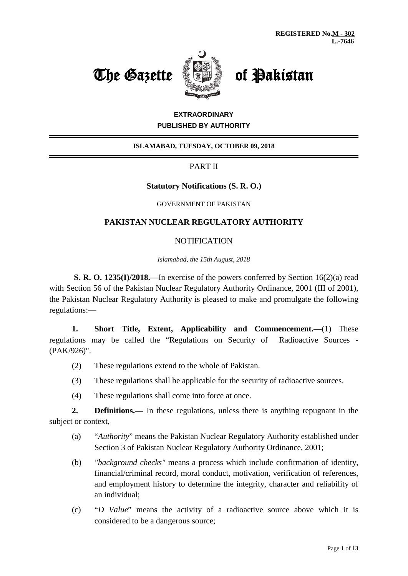



# **EXTRAORDINARY PUBLISHED BY AUTHORITY**

# **ISLAMABAD, TUESDAY, OCTOBER 09, 2018**

# PART II

# **Statutory Notifications (S. R. O.)**

#### GOVERNMENT OF PAKISTAN

# **PAKISTAN NUCLEAR REGULATORY AUTHORITY**

### **NOTIFICATION**

*Islamabad, the 15th August, 2018*

**S. R. O. 1235(I)/2018.**—In exercise of the powers conferred by Section 16(2)(a) read with Section 56 of the Pakistan Nuclear Regulatory Authority Ordinance, 2001 (III of 2001), the Pakistan Nuclear Regulatory Authority is pleased to make and promulgate the following regulations:—

**1. Short Title, Extent, Applicability and Commencement.—**(1) These regulations may be called the "Regulations on Security of Radioactive Sources - (PAK/926)".

- (2) These regulations extend to the whole of Pakistan.
- (3) These regulations shall be applicable for the security of radioactive sources.
- (4) These regulations shall come into force at once.

**2. Definitions.—** In these regulations, unless there is anything repugnant in the subject or context,

- (a) "*Authority*" means the Pakistan Nuclear Regulatory Authority established under Section 3 of Pakistan Nuclear Regulatory Authority Ordinance, 2001;
- (b) *"background checks"* means a process which include confirmation of identity, financial/criminal record, moral conduct, motivation, verification of references, and employment history to determine the integrity, character and reliability of an individual;
- (c) "*D Value*" means the activity of a radioactive source above which it is considered to be a dangerous source;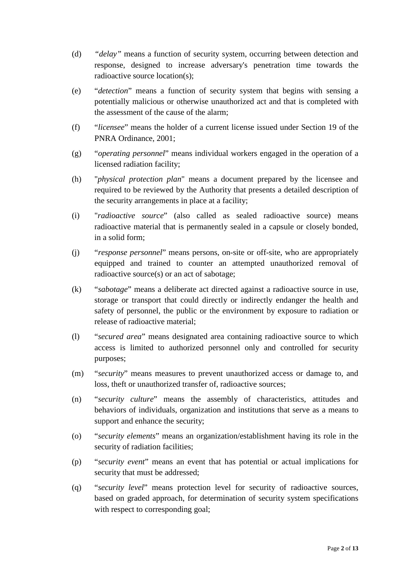- (d) *"delay"* means a function of security system, occurring between detection and response, designed to increase adversary's penetration time towards the radioactive source location(s);
- (e) "*detection*" means a function of security system that begins with sensing a potentially malicious or otherwise unauthorized act and that is completed with the assessment of the cause of the alarm;
- (f) "*licensee*" means the holder of a current license issued under Section 19 of the PNRA Ordinance, 2001;
- (g) "*operating personnel*" means individual workers engaged in the operation of a licensed radiation facility;
- (h) "*physical protection plan*" means a document prepared by the licensee and required to be reviewed by the Authority that presents a detailed description of the security arrangements in place at a facility;
- (i) "*radioactive source*" (also called as sealed radioactive source) means radioactive material that is permanently sealed in a capsule or closely bonded, in a solid form;
- (j) "*response personnel*" means persons, on-site or off-site, who are appropriately equipped and trained to counter an attempted unauthorized removal of radioactive source(s) or an act of sabotage;
- (k) "*sabotage*" means a deliberate act directed against a radioactive source in use, storage or transport that could directly or indirectly endanger the health and safety of personnel, the public or the environment by exposure to radiation or release of radioactive material;
- (l) "*secured area*" means designated area containing radioactive source to which access is limited to authorized personnel only and controlled for security purposes;
- (m) "*security*" means measures to prevent unauthorized access or damage to, and loss, theft or unauthorized transfer of, radioactive sources;
- (n) "*security culture*" means the assembly of characteristics, attitudes and behaviors of individuals, organization and institutions that serve as a means to support and enhance the security;
- (o) "*security elements*" means an organization/establishment having its role in the security of radiation facilities;
- (p) "*security event*" means an event that has potential or actual implications for security that must be addressed;
- (q) "*security level*" means protection level for security of radioactive sources, based on graded approach, for determination of security system specifications with respect to corresponding goal;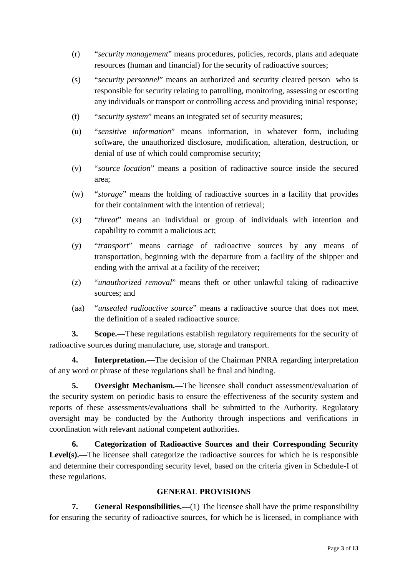- (r) "*security management*" means procedures, policies, records, plans and adequate resources (human and financial) for the security of radioactive sources;
- (s) "*security personnel*" means an authorized and security cleared person who is responsible for security relating to patrolling, monitoring, assessing or escorting any individuals or transport or controlling access and providing initial response;
- (t) "*security system*" means an integrated set of security measures;
- (u) "*sensitive information*" means information, in whatever form, including software, the unauthorized disclosure, modification, alteration, destruction, or denial of use of which could compromise security;
- (v) "*source location*" means a position of radioactive source inside the secured area;
- (w) "*storage*" means the holding of radioactive sources in a facility that provides for their containment with the intention of retrieval;
- (x) "*threat*" means an individual or group of individuals with intention and capability to commit a malicious act;
- (y) "*transport*" means carriage of radioactive sources by any means of transportation, beginning with the departure from a facility of the shipper and ending with the arrival at a facility of the receiver;
- (z) "*unauthorized removal*" means theft or other unlawful taking of radioactive sources; and
- (aa) "*unsealed radioactive source*" means a radioactive source that does not meet the definition of a sealed radioactive source.

**3. Scope.—**These regulations establish regulatory requirements for the security of radioactive sources during manufacture, use, storage and transport.

**4. Interpretation.—**The decision of the Chairman PNRA regarding interpretation of any word or phrase of these regulations shall be final and binding.

**5. Oversight Mechanism.—**The licensee shall conduct assessment/evaluation of the security system on periodic basis to ensure the effectiveness of the security system and reports of these assessments/evaluations shall be submitted to the Authority. Regulatory oversight may be conducted by the Authority through inspections and verifications in coordination with relevant national competent authorities.

**6. Categorization of Radioactive Sources and their Corresponding Security**  Level(s).—The licensee shall categorize the radioactive sources for which he is responsible and determine their corresponding security level, based on the criteria given in Schedule-I of these regulations.

# **GENERAL PROVISIONS**

**7. General Responsibilities.—**(1) The licensee shall have the prime responsibility for ensuring the security of radioactive sources, for which he is licensed, in compliance with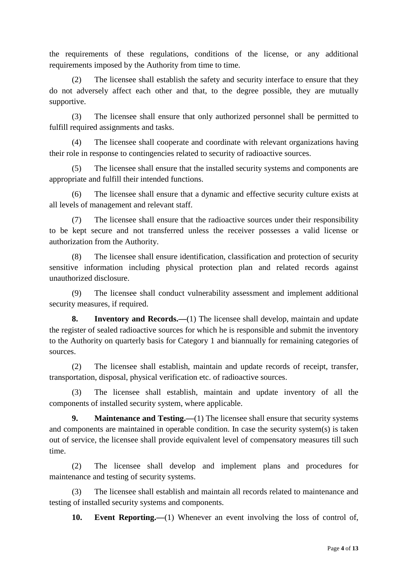the requirements of these regulations, conditions of the license, or any additional requirements imposed by the Authority from time to time.

(2) The licensee shall establish the safety and security interface to ensure that they do not adversely affect each other and that, to the degree possible, they are mutually supportive.

(3) The licensee shall ensure that only authorized personnel shall be permitted to fulfill required assignments and tasks.

(4) The licensee shall cooperate and coordinate with relevant organizations having their role in response to contingencies related to security of radioactive sources.

(5) The licensee shall ensure that the installed security systems and components are appropriate and fulfill their intended functions.

(6) The licensee shall ensure that a dynamic and effective security culture exists at all levels of management and relevant staff.

(7) The licensee shall ensure that the radioactive sources under their responsibility to be kept secure and not transferred unless the receiver possesses a valid license or authorization from the Authority.

(8) The licensee shall ensure identification, classification and protection of security sensitive information including physical protection plan and related records against unauthorized disclosure.

(9) The licensee shall conduct vulnerability assessment and implement additional security measures, if required.

**8. Inventory and Records.—**(1) The licensee shall develop, maintain and update the register of sealed radioactive sources for which he is responsible and submit the inventory to the Authority on quarterly basis for Category 1 and biannually for remaining categories of sources.

(2) The licensee shall establish, maintain and update records of receipt, transfer, transportation, disposal, physical verification etc. of radioactive sources.

(3) The licensee shall establish, maintain and update inventory of all the components of installed security system, where applicable.

**9. Maintenance and Testing.**—(1) The licensee shall ensure that security systems and components are maintained in operable condition. In case the security system(s) is taken out of service, the licensee shall provide equivalent level of compensatory measures till such time.

(2) The licensee shall develop and implement plans and procedures for maintenance and testing of security systems.

(3) The licensee shall establish and maintain all records related to maintenance and testing of installed security systems and components.

**10. Event Reporting.—**(1) Whenever an event involving the loss of control of,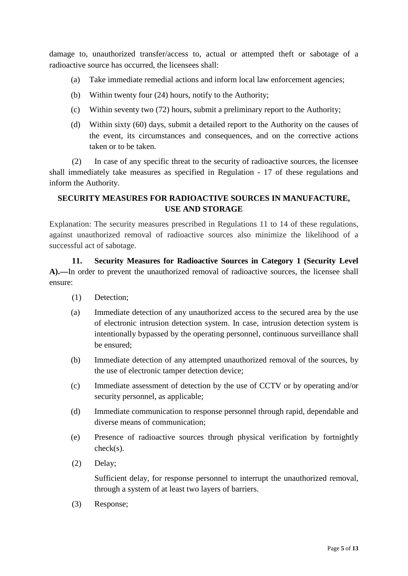damage to, unauthorized transfer/access to, actual or attempted theft or sabotage of a radioactive source has occurred, the licensees shall:

- (a) Take immediate remedial actions and inform local law enforcement agencies;
- (b) Within twenty four (24) hours, notify to the Authority;
- (c) Within seventy two (72) hours, submit a preliminary report to the Authority;
- (d) Within sixty (60) days, submit a detailed report to the Authority on the causes of the event, its circumstances and consequences, and on the corrective actions taken or to be taken.

(2) In case of any specific threat to the security of radioactive sources, the licensee shall immediately take measures as specified in Regulation - 17 of these regulations and inform the Authority.

# **SECURITY MEASURES FOR RADIOACTIVE SOURCES IN MANUFACTURE, USE AND STORAGE**

Explanation: The security measures prescribed in Regulations 11 to 14 of these regulations, against unauthorized removal of radioactive sources also minimize the likelihood of a successful act of sabotage.

**11. Security Measures for Radioactive Sources in Category 1 (Security Level A).—**In order to prevent the unauthorized removal of radioactive sources, the licensee shall ensure:

- (1) Detection;
- (a) Immediate detection of any unauthorized access to the secured area by the use of electronic intrusion detection system. In case, intrusion detection system is intentionally bypassed by the operating personnel, continuous surveillance shall be ensured;
- (b) Immediate detection of any attempted unauthorized removal of the sources, by the use of electronic tamper detection device;
- (c) Immediate assessment of detection by the use of CCTV or by operating and/or security personnel, as applicable;
- (d) Immediate communication to response personnel through rapid, dependable and diverse means of communication;
- (e) Presence of radioactive sources through physical verification by fortnightly check(s).
- (2) Delay;

Sufficient delay, for response personnel to interrupt the unauthorized removal, through a system of at least two layers of barriers.

(3) Response;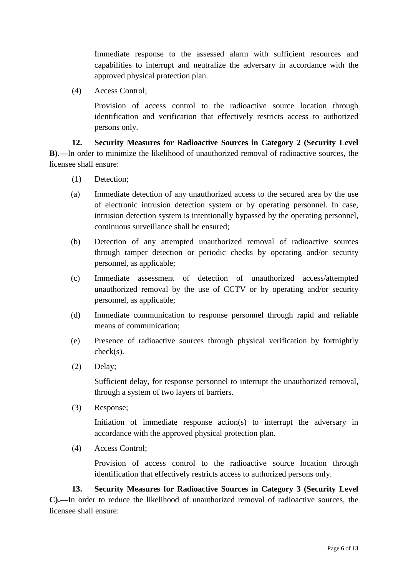Immediate response to the assessed alarm with sufficient resources and capabilities to interrupt and neutralize the adversary in accordance with the approved physical protection plan.

(4) Access Control;

Provision of access control to the radioactive source location through identification and verification that effectively restricts access to authorized persons only.

**12. Security Measures for Radioactive Sources in Category 2 (Security Level B).—**In order to minimize the likelihood of unauthorized removal of radioactive sources, the licensee shall ensure:

- (1) Detection;
- (a) Immediate detection of any unauthorized access to the secured area by the use of electronic intrusion detection system or by operating personnel. In case, intrusion detection system is intentionally bypassed by the operating personnel, continuous surveillance shall be ensured;
- (b) Detection of any attempted unauthorized removal of radioactive sources through tamper detection or periodic checks by operating and/or security personnel, as applicable;
- (c) Immediate assessment of detection of unauthorized access/attempted unauthorized removal by the use of CCTV or by operating and/or security personnel, as applicable;
- (d) Immediate communication to response personnel through rapid and reliable means of communication;
- (e) Presence of radioactive sources through physical verification by fortnightly check(s).
- (2) Delay;

Sufficient delay, for response personnel to interrupt the unauthorized removal, through a system of two layers of barriers.

(3) Response;

Initiation of immediate response action(s) to interrupt the adversary in accordance with the approved physical protection plan.

(4) Access Control;

Provision of access control to the radioactive source location through identification that effectively restricts access to authorized persons only.

**13. Security Measures for Radioactive Sources in Category 3 (Security Level C).—**In order to reduce the likelihood of unauthorized removal of radioactive sources, the licensee shall ensure: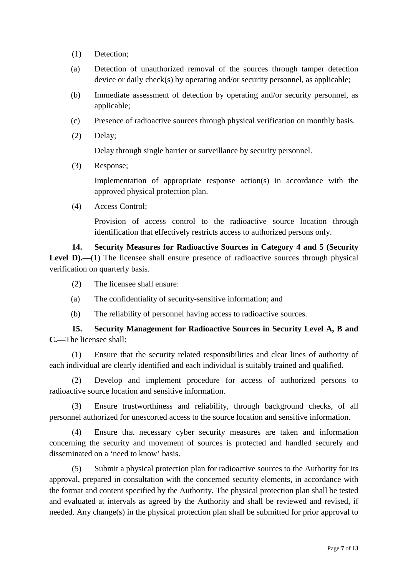- (1) Detection;
- (a) Detection of unauthorized removal of the sources through tamper detection device or daily check(s) by operating and/or security personnel, as applicable;
- (b) Immediate assessment of detection by operating and/or security personnel, as applicable;
- (c) Presence of radioactive sources through physical verification on monthly basis.
- (2) Delay;

Delay through single barrier or surveillance by security personnel.

(3) Response;

Implementation of appropriate response action(s) in accordance with the approved physical protection plan.

(4) Access Control;

Provision of access control to the radioactive source location through identification that effectively restricts access to authorized persons only.

**14. Security Measures for Radioactive Sources in Category 4 and 5 (Security**  Level D).—(1) The licensee shall ensure presence of radioactive sources through physical verification on quarterly basis.

- (2) The licensee shall ensure:
- (a) The confidentiality of security-sensitive information; and
- (b) The reliability of personnel having access to radioactive sources.

**15. Security Management for Radioactive Sources in Security Level A, B and C.—**The licensee shall:

(1) Ensure that the security related responsibilities and clear lines of authority of each individual are clearly identified and each individual is suitably trained and qualified.

(2) Develop and implement procedure for access of authorized persons to radioactive source location and sensitive information.

(3) Ensure trustworthiness and reliability, through background checks, of all personnel authorized for unescorted access to the source location and sensitive information.

(4) Ensure that necessary cyber security measures are taken and information concerning the security and movement of sources is protected and handled securely and disseminated on a 'need to know' basis.

(5) Submit a physical protection plan for radioactive sources to the Authority for its approval, prepared in consultation with the concerned security elements, in accordance with the format and content specified by the Authority. The physical protection plan shall be tested and evaluated at intervals as agreed by the Authority and shall be reviewed and revised, if needed. Any change(s) in the physical protection plan shall be submitted for prior approval to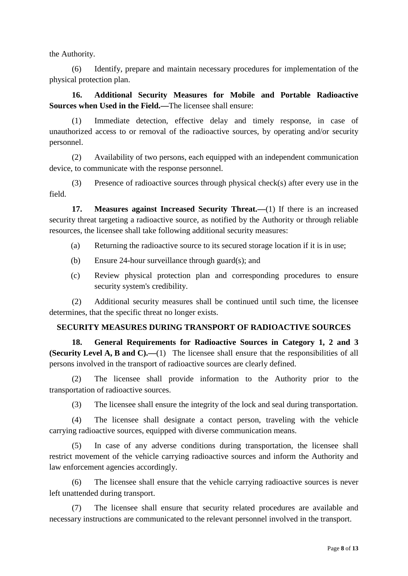the Authority.

(6) Identify, prepare and maintain necessary procedures for implementation of the physical protection plan.

**16. Additional Security Measures for Mobile and Portable Radioactive Sources when Used in the Field.—**The licensee shall ensure:

(1) Immediate detection, effective delay and timely response, in case of unauthorized access to or removal of the radioactive sources, by operating and/or security personnel.

(2) Availability of two persons, each equipped with an independent communication device, to communicate with the response personnel.

(3) Presence of radioactive sources through physical check(s) after every use in the field.

**17. Measures against Increased Security Threat.—**(1) If there is an increased security threat targeting a radioactive source, as notified by the Authority or through reliable resources, the licensee shall take following additional security measures:

(a) Returning the radioactive source to its secured storage location if it is in use;

- (b) Ensure 24-hour surveillance through guard(s); and
- (c) Review physical protection plan and corresponding procedures to ensure security system's credibility.

(2) Additional security measures shall be continued until such time, the licensee determines, that the specific threat no longer exists.

# **SECURITY MEASURES DURING TRANSPORT OF RADIOACTIVE SOURCES**

**18. General Requirements for Radioactive Sources in Category 1, 2 and 3 (Security Level A, B and C).—**(1) The licensee shall ensure that the responsibilities of all persons involved in the transport of radioactive sources are clearly defined.

(2) The licensee shall provide information to the Authority prior to the transportation of radioactive sources.

(3) The licensee shall ensure the integrity of the lock and seal during transportation.

(4) The licensee shall designate a contact person, traveling with the vehicle carrying radioactive sources, equipped with diverse communication means.

(5) In case of any adverse conditions during transportation, the licensee shall restrict movement of the vehicle carrying radioactive sources and inform the Authority and law enforcement agencies accordingly.

(6) The licensee shall ensure that the vehicle carrying radioactive sources is never left unattended during transport.

(7) The licensee shall ensure that security related procedures are available and necessary instructions are communicated to the relevant personnel involved in the transport.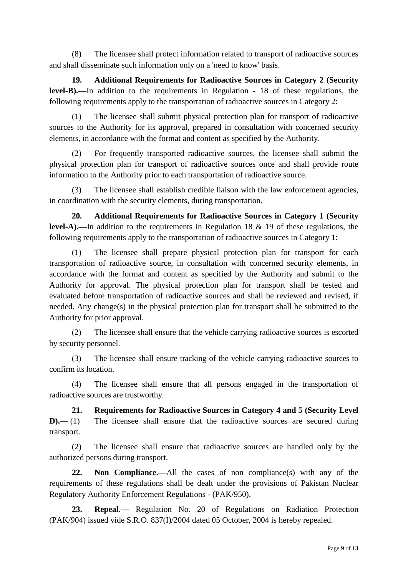(8) The licensee shall protect information related to transport of radioactive sources and shall disseminate such information only on a 'need to know' basis.

**19. Additional Requirements for Radioactive Sources in Category 2 (Security level-B).—**In addition to the requirements in Regulation - 18 of these regulations, the following requirements apply to the transportation of radioactive sources in Category 2:

(1) The licensee shall submit physical protection plan for transport of radioactive sources to the Authority for its approval, prepared in consultation with concerned security elements, in accordance with the format and content as specified by the Authority.

(2) For frequently transported radioactive sources, the licensee shall submit the physical protection plan for transport of radioactive sources once and shall provide route information to the Authority prior to each transportation of radioactive source.

(3) The licensee shall establish credible liaison with the law enforcement agencies, in coordination with the security elements, during transportation.

**20. Additional Requirements for Radioactive Sources in Category 1 (Security level-A).—**In addition to the requirements in Regulation 18 & 19 of these regulations, the following requirements apply to the transportation of radioactive sources in Category 1:

(1) The licensee shall prepare physical protection plan for transport for each transportation of radioactive source, in consultation with concerned security elements, in accordance with the format and content as specified by the Authority and submit to the Authority for approval. The physical protection plan for transport shall be tested and evaluated before transportation of radioactive sources and shall be reviewed and revised, if needed. Any change(s) in the physical protection plan for transport shall be submitted to the Authority for prior approval.

(2) The licensee shall ensure that the vehicle carrying radioactive sources is escorted by security personnel.

(3) The licensee shall ensure tracking of the vehicle carrying radioactive sources to confirm its location.

(4) The licensee shall ensure that all persons engaged in the transportation of radioactive sources are trustworthy.

**21. Requirements for Radioactive Sources in Category 4 and 5 (Security Level D).**—(1) The licensee shall ensure that the radioactive sources are secured during transport.

(2) The licensee shall ensure that radioactive sources are handled only by the authorized persons during transport.

**22. Non Compliance.—**All the cases of non compliance(s) with any of the requirements of these regulations shall be dealt under the provisions of Pakistan Nuclear Regulatory Authority Enforcement Regulations - (PAK/950).

**23. Repeal.—** Regulation No. 20 of Regulations on Radiation Protection (PAK/904) issued vide S.R.O. 837(I)/2004 dated 05 October, 2004 is hereby repealed.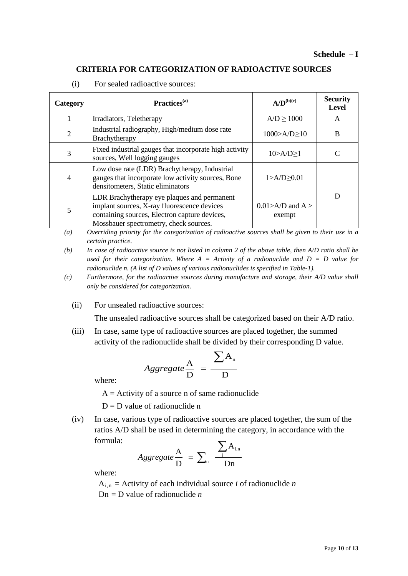### **CRITERIA FOR CATEGORIZATION OF RADIOACTIVE SOURCES**

| Category       | Practices <sup>(a)</sup>                                                                                                                                                              | $A/D^{(b)(c)}$                   | <b>Security</b><br><b>Level</b> |
|----------------|---------------------------------------------------------------------------------------------------------------------------------------------------------------------------------------|----------------------------------|---------------------------------|
|                | Irradiators, Teletherapy                                                                                                                                                              | $A/D \ge 1000$                   | A                               |
| $\overline{2}$ | Industrial radiography, High/medium dose rate<br>Brachytherapy                                                                                                                        | $1000 > A/D \ge 10$              | B                               |
| 3              | Fixed industrial gauges that incorporate high activity<br>sources, Well logging gauges                                                                                                | $10>A/D \ge 1$                   |                                 |
| $\overline{4}$ | Low dose rate (LDR) Brachytherapy, Industrial<br>gauges that incorporate low activity sources, Bone<br>densitometers, Static eliminators                                              | $1 > A/D \ge 0.01$               |                                 |
| 5              | LDR Brachytherapy eye plaques and permanent<br>implant sources, X-ray fluorescence devices<br>containing sources, Electron capture devices,<br>Mossbauer spectrometry, check sources. | $0.01 > A/D$ and A $>$<br>exempt |                                 |

(i) For sealed radioactive sources:

*(a) Overriding priority for the categorization of radioactive sources shall be given to their use in a certain practice.* 

*(b) In case of radioactive source is not listed in column 2 of the above table, then A/D ratio shall be used for their categorization. Where A = Activity of a radionuclide and D = D value for radionuclide n. (A list of D values of various radionuclides is specified in Table-1).* 

- *(c) Furthermore, for the radioactive sources during manufacture and storage, their A/D value shall only be considered for categorization.*
	- (ii) For unsealed radioactive sources:

The unsealed radioactive sources shall be categorized based on their A/D ratio.

(iii) In case, same type of radioactive sources are placed together, the summed activity of the radionuclide shall be divided by their corresponding D value.

$$
Aggregate \frac{A}{D} = \frac{\sum A_n}{D}
$$

where:

 $A =$  Activity of a source n of same radionuclide

 $D = D$  value of radionuclide n

(iv) In case, various type of radioactive sources are placed together, the sum of the ratios A/D shall be used in determining the category, in accordance with the formula:

$$
Aggregate \frac{A}{D} = \sum_{n} \frac{\sum_{i} A_{i,n}}{Dn}
$$

where:

 $A_{i,n}$  = Activity of each individual source *i* of radionuclide *n*  $Dn = D$  value of radionuclide *n*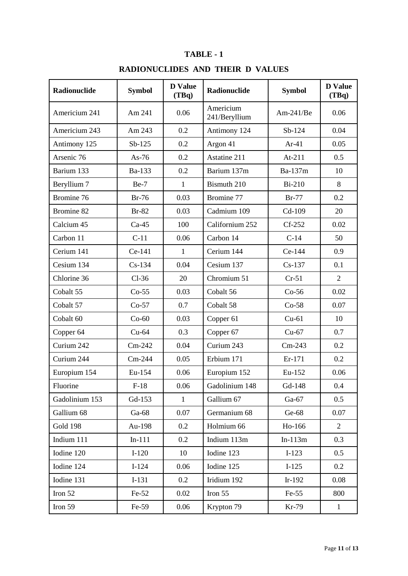# **TABLE - 1**

# **RADIONUCLIDES AND THEIR D VALUES**

| Radionuclide    | <b>Symbol</b> | <b>D</b> Value<br>(TBq) | <b>Radionuclide</b>        | <b>Symbol</b> | <b>D</b> Value<br>(TBq) |
|-----------------|---------------|-------------------------|----------------------------|---------------|-------------------------|
| Americium 241   | Am 241        | 0.06                    | Americium<br>241/Beryllium | $Am-241/Be$   | 0.06                    |
| Americium 243   | Am 243        | 0.2                     | Antimony 124               | $Sb-124$      | 0.04                    |
| Antimony 125    | $Sb-125$      | 0.2                     | Argon 41                   | $Ar-41$       | 0.05                    |
| Arsenic 76      | As- $76$      | 0.2                     | Astatine 211               | $At-211$      | 0.5                     |
| Barium 133      | Ba-133        | 0.2                     | Barium 137m                | Ba-137m       | 10                      |
| Beryllium 7     | $Be-7$        | 1                       | Bismuth 210                | <b>Bi-210</b> | 8                       |
| Bromine 76      | $Br-76$       | 0.03                    | Bromine 77                 | $Br-77$       | 0.2                     |
| Bromine 82      | $Br-82$       | 0.03                    | Cadmium 109                | Cd-109        | 20                      |
| Calcium 45      | $Ca-45$       | 100                     | Californium 252            | $Cf-252$      | 0.02                    |
| Carbon 11       | $C-11$        | 0.06                    | Carbon 14                  | $C-14$        | 50                      |
| Cerium 141      | Ce-141        | $\mathbf 1$             | Cerium 144                 | Ce-144        | 0.9                     |
| Cesium 134      | $Cs-134$      | 0.04                    | Cesium 137                 | $Cs-137$      | 0.1                     |
| Chlorine 36     | $Cl-36$       | 20                      | Chromium 51                | $Cr-51$       | $\overline{2}$          |
| Cobalt 55       | $Co-55$       | 0.03                    | Cobalt 56                  | $Co-56$       | 0.02                    |
| Cobalt 57       | $Co-57$       | 0.7                     | Cobalt 58                  | $Co-58$       | 0.07                    |
| Cobalt 60       | $Co-60$       | 0.03                    | Copper 61                  | $Cu-61$       | 10                      |
| Copper 64       | $Cu-64$       | 0.3                     | Copper 67                  | $Cu-67$       | 0.7                     |
| Curium 242      | $Cm-242$      | 0.04                    | Curium 243                 | $Cm-243$      | 0.2                     |
| Curium 244      | $Cm-244$      | 0.05                    | Erbium 171                 | Er-171        | 0.2                     |
| Europium 154    | Eu-154        | 0.06                    | Europium 152               | Eu-152        | 0.06                    |
| Fluorine        | $F-18$        | 0.06                    | Gadolinium 148             | Gd-148        | 0.4                     |
| Gadolinium 153  | Gd-153        | $\mathbf{1}$            | Gallium 67                 | Ga-67         | 0.5                     |
| Gallium 68      | $Ga-68$       | 0.07                    | Germanium 68               | Ge-68         | 0.07                    |
| <b>Gold 198</b> | Au-198        | 0.2                     | Holmium 66                 | Ho-166        | $\overline{2}$          |
| Indium 111      | $In-111$      | 0.2                     | Indium 113m                | $In-113m$     | 0.3                     |
| Iodine 120      | $I-120$       | 10                      | Iodine 123                 | $I-123$       | 0.5                     |
| Iodine 124      | $I-124$       | 0.06                    | Iodine 125                 | $I-125$       | 0.2                     |
| Iodine 131      | $I-131$       | 0.2                     | Iridium 192                | $Ir-192$      | 0.08                    |
| Iron 52         | $Fe-52$       | 0.02                    | Iron 55                    | $Fe-55$       | 800                     |
| Iron 59         | Fe-59         | 0.06                    | Krypton 79                 | Kr-79         | $\mathbf{1}$            |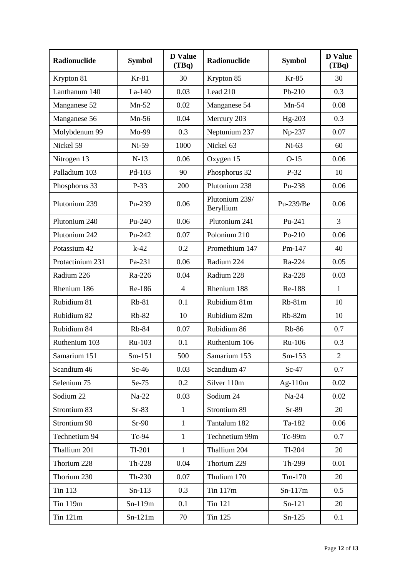| Radionuclide     | <b>Symbol</b> | <b>D</b> Value<br>(TBq) | Radionuclide                | <b>Symbol</b> | <b>D</b> Value<br>(TBq) |
|------------------|---------------|-------------------------|-----------------------------|---------------|-------------------------|
| Krypton 81       | $Kr-81$       | 30                      | Krypton 85                  | $Kr-85$       | 30                      |
| Lanthanum 140    | $La-140$      | 0.03                    | Lead 210                    | Pb-210        | 0.3                     |
| Manganese 52     | $Mn-52$       | 0.02                    | Manganese 54                | $Mn-54$       | 0.08                    |
| Manganese 56     | $Mn-56$       | 0.04                    | Mercury 203                 | Hg-203        | 0.3                     |
| Molybdenum 99    | Mo-99         | 0.3                     | Neptunium 237               | Np-237        | 0.07                    |
| Nickel 59        | $Ni-59$       | 1000                    | Nickel 63                   | $Ni-63$       | 60                      |
| Nitrogen 13      | $N-13$        | 0.06                    | Oxygen 15                   | $O-15$        | 0.06                    |
| Palladium 103    | Pd-103        | 90                      | Phosphorus 32               | $P-32$        | 10                      |
| Phosphorus 33    | $P-33$        | 200                     | Plutonium 238               | Pu-238        | 0.06                    |
| Plutonium 239    | Pu-239        | 0.06                    | Plutonium 239/<br>Beryllium | Pu-239/Be     | 0.06                    |
| Plutonium 240    | $Pu-240$      | 0.06                    | Plutonium 241               | Pu-241        | 3                       |
| Plutonium 242    | Pu-242        | 0.07                    | Polonium 210                | Po-210        | 0.06                    |
| Potassium 42     | $k-42$        | 0.2                     | Promethium 147              | Pm-147        | 40                      |
| Protactinium 231 | Pa-231        | 0.06                    | Radium 224                  | Ra-224        | 0.05                    |
| Radium 226       | Ra-226        | 0.04                    | Radium 228                  | Ra-228        | 0.03                    |
| Rhenium 186      | Re-186        | $\overline{4}$          | Rhenium 188                 | Re-188        | $\mathbf{1}$            |
| Rubidium 81      | $Rb-81$       | 0.1                     | Rubidium 81m                | $Rb-81m$      | 10                      |
| Rubidium 82      | $Rb-82$       | 10                      | Rubidium 82m                | $Rb-82m$      | 10                      |
| Rubidium 84      | <b>Rb-84</b>  | 0.07                    | Rubidium 86                 | <b>Rb-86</b>  | 0.7                     |
| Ruthenium 103    | Ru-103        | 0.1                     | Ruthenium 106               | Ru-106        | 0.3                     |
| Samarium 151     | $Sm-151$      | 500                     | Samarium 153                | $Sm-153$      | $\overline{2}$          |
| Scandium 46      | $Sc-46$       | 0.03                    | Scandium 47                 | $Sc-47$       | 0.7                     |
| Selenium 75      | $Se-75$       | 0.2                     | Silver 110m                 | $Ag-110m$     | 0.02                    |
| Sodium 22        | $Na-22$       | 0.03                    | Sodium 24                   | $Na-24$       | 0.02                    |
| Strontium 83     | $Sr-83$       | $\mathbf{1}$            | Strontium 89                | $Sr-89$       | 20                      |
| Strontium 90     | $Sr-90$       | $\mathbf{1}$            | Tantalum 182                | Ta-182        | 0.06                    |
| Technetium 94    | Tc-94         | $\mathbf{1}$            | Technetium 99m              | $Tc-99m$      | 0.7                     |
| Thallium 201     | $Tl-201$      | $\mathbf{1}$            | Thallium 204                | $Tl-204$      | 20                      |
| Thorium 228      | Th-228        | 0.04                    | Thorium 229                 | Th-299        | 0.01                    |
| Thorium 230      | Th-230        | 0.07                    | Thulium 170                 | $Tm-170$      | 20                      |
| <b>Tin 113</b>   | $Sn-113$      | 0.3                     | Tin 117m                    | $Sn-117m$     | 0.5                     |
| Tin 119m         | $Sn-119m$     | 0.1                     | <b>Tin 121</b>              | $Sn-121$      | 20                      |
| Tin 121m         | $Sn-121m$     | 70                      | Tin 125                     | $Sn-125$      | 0.1                     |